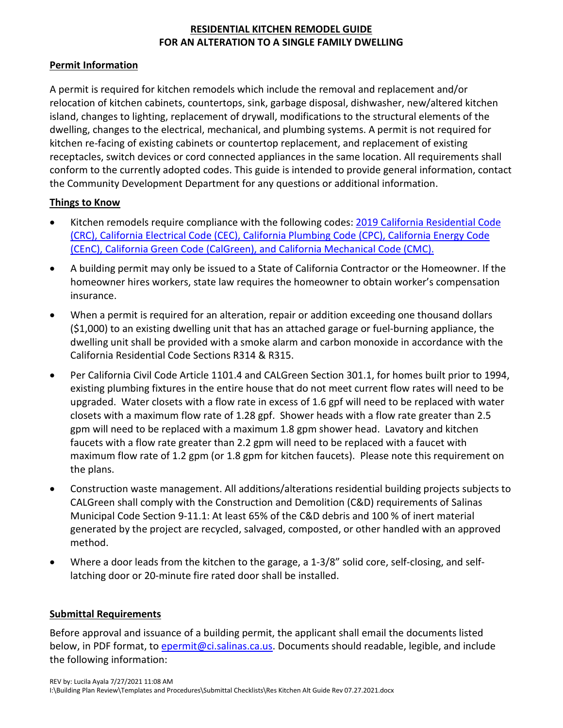# **RESIDENTIAL KITCHEN REMODEL GUIDE FOR AN ALTERATION TO A SINGLE FAMILY DWELLING**

## **Permit Information**

A permit is required for kitchen remodels which include the removal and replacement and/or relocation of kitchen cabinets, countertops, sink, garbage disposal, dishwasher, new/altered kitchen island, changes to lighting, replacement of drywall, modifications to the structural elements of the dwelling, changes to the electrical, mechanical, and plumbing systems. A permit is not required for kitchen re-facing of existing cabinets or countertop replacement, and replacement of existing receptacles, switch devices or cord connected appliances in the same location. All requirements shall conform to the currently adopted codes. This guide is intended to provide general information, contact the Community Development Department for any questions or additional information.

## **Things to Know**

- Kitchen remodels require compliance with the following codes: 2019 [California Residential Code](https://www.dgs.ca.gov/BSC/Codes)  [\(CRC\), California Electrical Code \(CEC\), California Plumbing Code \(CPC\), California Energy Code](https://www.dgs.ca.gov/BSC/Codes)  [\(CEnC\), California Green Code \(CalGreen\), and California Mechanical Code \(CMC\).](https://www.dgs.ca.gov/BSC/Codes)
- A building permit may only be issued to a State of California Contractor or the Homeowner. If the homeowner hires workers, state law requires the homeowner to obtain worker's compensation insurance.
- When a permit is required for an alteration, repair or addition exceeding one thousand dollars (\$1,000) to an existing dwelling unit that has an attached garage or fuel-burning appliance, the dwelling unit shall be provided with a smoke alarm and carbon monoxide in accordance with the California Residential Code Sections R314 & R315.
- Per California Civil Code Article 1101.4 and CALGreen Section 301.1, for homes built prior to 1994, existing plumbing fixtures in the entire house that do not meet current flow rates will need to be upgraded. Water closets with a flow rate in excess of 1.6 gpf will need to be replaced with water closets with a maximum flow rate of 1.28 gpf. Shower heads with a flow rate greater than 2.5 gpm will need to be replaced with a maximum 1.8 gpm shower head. Lavatory and kitchen faucets with a flow rate greater than 2.2 gpm will need to be replaced with a faucet with maximum flow rate of 1.2 gpm (or 1.8 gpm for kitchen faucets). Please note this requirement on the plans.
- Construction waste management. All additions/alterations residential building projects subjects to CALGreen shall comply with the Construction and Demolition (C&D) requirements of Salinas Municipal Code Section 9-11.1: At least 65% of the C&D debris and 100 % of inert material generated by the project are recycled, salvaged, composted, or other handled with an approved method.
- Where a door leads from the kitchen to the garage, a 1-3/8" solid core, self-closing, and selflatching door or 20-minute fire rated door shall be installed.

#### **Submittal Requirements**

Before approval and issuance of a building permit, the applicant shall email the documents listed below, in PDF format, to *epermit@ci.salinas.ca.us*. Documents should readable, legible, and include the following information: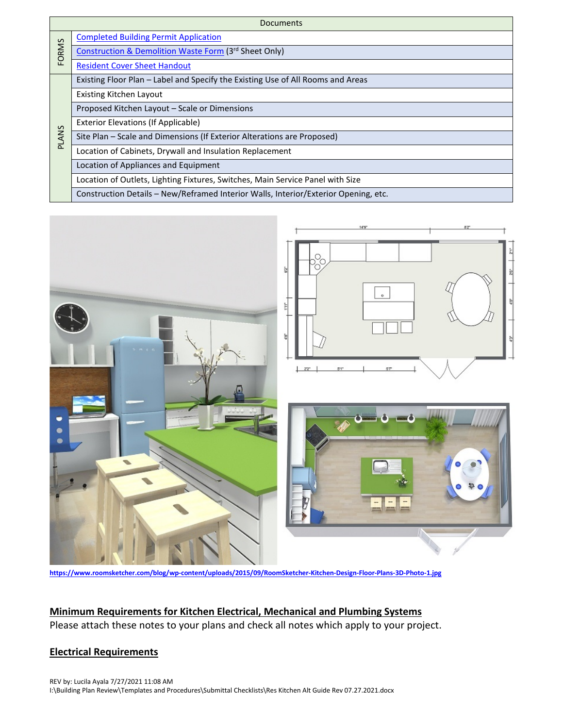| <b>Documents</b> |                                                                                     |  |
|------------------|-------------------------------------------------------------------------------------|--|
| FORMS            | <b>Completed Building Permit Application</b>                                        |  |
|                  | Construction & Demolition Waste Form (3rd Sheet Only)                               |  |
|                  | <b>Resident Cover Sheet Handout</b>                                                 |  |
| <b>PLANS</b>     | Existing Floor Plan – Label and Specify the Existing Use of All Rooms and Areas     |  |
|                  | <b>Existing Kitchen Layout</b>                                                      |  |
|                  | Proposed Kitchen Layout - Scale or Dimensions                                       |  |
|                  | <b>Exterior Elevations (If Applicable)</b>                                          |  |
|                  | Site Plan - Scale and Dimensions (If Exterior Alterations are Proposed)             |  |
|                  | Location of Cabinets, Drywall and Insulation Replacement                            |  |
|                  | Location of Appliances and Equipment                                                |  |
|                  | Location of Outlets, Lighting Fixtures, Switches, Main Service Panel with Size      |  |
|                  | Construction Details – New/Reframed Interior Walls, Interior/Exterior Opening, etc. |  |



**<https://www.roomsketcher.com/blog/wp-content/uploads/2015/09/RoomSketcher-Kitchen-Design-Floor-Plans-3D-Photo-1.jpg>**

# **Minimum Requirements for Kitchen Electrical, Mechanical and Plumbing Systems**

Please attach these notes to your plans and check all notes which apply to your project.

## **Electrical Requirements**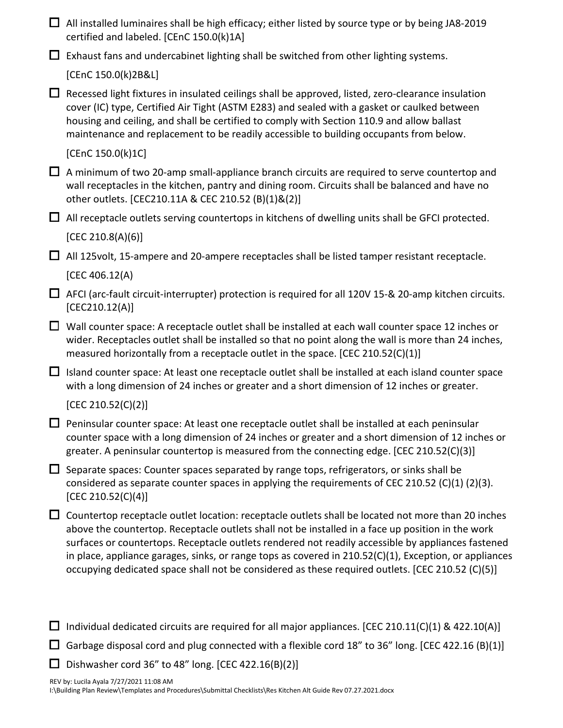|        | $\Box$ All installed luminaires shall be high efficacy; either listed by source type or by being JA8-2019<br>certified and labeled. [CEnC 150.0(k)1A]                                                                                                                                                                                                                                                                                                                                                                       |
|--------|-----------------------------------------------------------------------------------------------------------------------------------------------------------------------------------------------------------------------------------------------------------------------------------------------------------------------------------------------------------------------------------------------------------------------------------------------------------------------------------------------------------------------------|
| $\Box$ | Exhaust fans and undercabinet lighting shall be switched from other lighting systems.                                                                                                                                                                                                                                                                                                                                                                                                                                       |
|        | [CEnC 150.0(k)2B&L]                                                                                                                                                                                                                                                                                                                                                                                                                                                                                                         |
| $\Box$ | Recessed light fixtures in insulated ceilings shall be approved, listed, zero-clearance insulation<br>cover (IC) type, Certified Air Tight (ASTM E283) and sealed with a gasket or caulked between<br>housing and ceiling, and shall be certified to comply with Section 110.9 and allow ballast<br>maintenance and replacement to be readily accessible to building occupants from below.                                                                                                                                  |
|        | [CEnC 150.0(k)1C]                                                                                                                                                                                                                                                                                                                                                                                                                                                                                                           |
| $\Box$ | A minimum of two 20-amp small-appliance branch circuits are required to serve countertop and<br>wall receptacles in the kitchen, pantry and dining room. Circuits shall be balanced and have no<br>other outlets. [CEC210.11A & CEC 210.52 (B)(1)&(2)]                                                                                                                                                                                                                                                                      |
|        | $\Box$ All receptacle outlets serving countertops in kitchens of dwelling units shall be GFCI protected.                                                                                                                                                                                                                                                                                                                                                                                                                    |
|        | [CEC 210.8(A)(6)]                                                                                                                                                                                                                                                                                                                                                                                                                                                                                                           |
| $\Box$ | All 125volt, 15-ampere and 20-ampere receptacles shall be listed tamper resistant receptacle.                                                                                                                                                                                                                                                                                                                                                                                                                               |
|        | [CEC 406.12(A)                                                                                                                                                                                                                                                                                                                                                                                                                                                                                                              |
| $\Box$ | AFCI (arc-fault circuit-interrupter) protection is required for all 120V 15-& 20-amp kitchen circuits.<br>[CEC210.12(A)]                                                                                                                                                                                                                                                                                                                                                                                                    |
| $\Box$ | Wall counter space: A receptacle outlet shall be installed at each wall counter space 12 inches or<br>wider. Receptacles outlet shall be installed so that no point along the wall is more than 24 inches,<br>measured horizontally from a receptacle outlet in the space. [CEC 210.52(C)(1)]                                                                                                                                                                                                                               |
|        | $\Box$ Island counter space: At least one receptacle outlet shall be installed at each island counter space<br>with a long dimension of 24 inches or greater and a short dimension of 12 inches or greater.                                                                                                                                                                                                                                                                                                                 |
|        | [CEC 210.52(C)(2)]                                                                                                                                                                                                                                                                                                                                                                                                                                                                                                          |
|        | $\Box$ Peninsular counter space: At least one receptacle outlet shall be installed at each peninsular<br>counter space with a long dimension of 24 inches or greater and a short dimension of 12 inches or<br>greater. A peninsular countertop is measured from the connecting edge. [CEC 210.52(C)(3)]                                                                                                                                                                                                                     |
|        | Separate spaces: Counter spaces separated by range tops, refrigerators, or sinks shall be<br>considered as separate counter spaces in applying the requirements of CEC 210.52 (C)(1) (2)(3).<br>[CEC 210.52(C)(4)]                                                                                                                                                                                                                                                                                                          |
| $\Box$ | Countertop receptacle outlet location: receptacle outlets shall be located not more than 20 inches<br>above the countertop. Receptacle outlets shall not be installed in a face up position in the work<br>surfaces or countertops. Receptacle outlets rendered not readily accessible by appliances fastened<br>in place, appliance garages, sinks, or range tops as covered in 210.52(C)(1), Exception, or appliances<br>occupying dedicated space shall not be considered as these required outlets. [CEC 210.52 (C)(5)] |
| $\Box$ | Individual dedicated circuits are required for all major appliances. [CEC 210.11(C)(1) & 422.10(A)]                                                                                                                                                                                                                                                                                                                                                                                                                         |

Garbage disposal cord and plug connected with a flexible cord 18" to 36" long. [CEC 422.16 (B)(1)]

 $\square$  Dishwasher cord 36" to 48" long. [CEC 422.16(B)(2)]